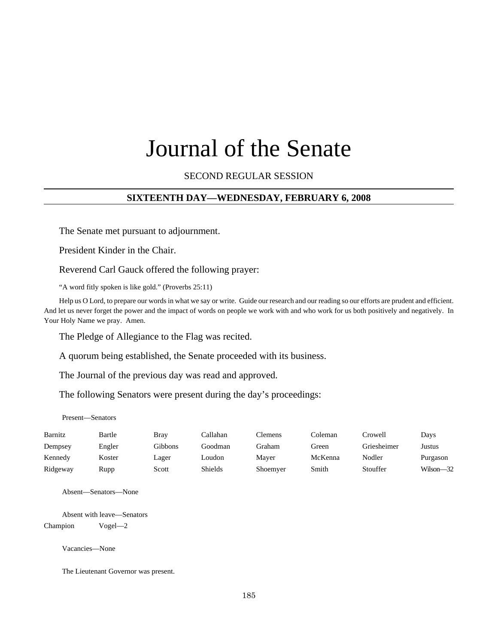# Journal of the Senate

SECOND REGULAR SESSION

#### **SIXTEENTH DAY—WEDNESDAY, FEBRUARY 6, 2008**

The Senate met pursuant to adjournment.

President Kinder in the Chair.

Reverend Carl Gauck offered the following prayer:

"A word fitly spoken is like gold." (Proverbs 25:11)

Help us O Lord, to prepare our words in what we say or write. Guide our research and our reading so our efforts are prudent and efficient. And let us never forget the power and the impact of words on people we work with and who work for us both positively and negatively. In Your Holy Name we pray. Amen.

The Pledge of Allegiance to the Flag was recited.

A quorum being established, the Senate proceeded with its business.

The Journal of the previous day was read and approved.

The following Senators were present during the day's proceedings:

Present—Senators

| Barnitz  | Bartle | <b>Bray</b> | Callahan | Clemens  | Coleman | ∵rowell     | Days          |
|----------|--------|-------------|----------|----------|---------|-------------|---------------|
| Dempsey  | Engler | Gibbons     | Goodman  | Graham   | Green   | Griesheimer | Justus        |
| Kennedy  | Koster | Lager       | Loudon   | Mayer    | McKenna | Nodler      | Purgason      |
| Ridgeway | Rupp   | Scott       | Shields  | Shoemyer | Smith   | Stouffer    | $Wilson - 32$ |

Absent—Senators—None

Absent with leave—Senators Champion Vogel—2

Vacancies—None

The Lieutenant Governor was present.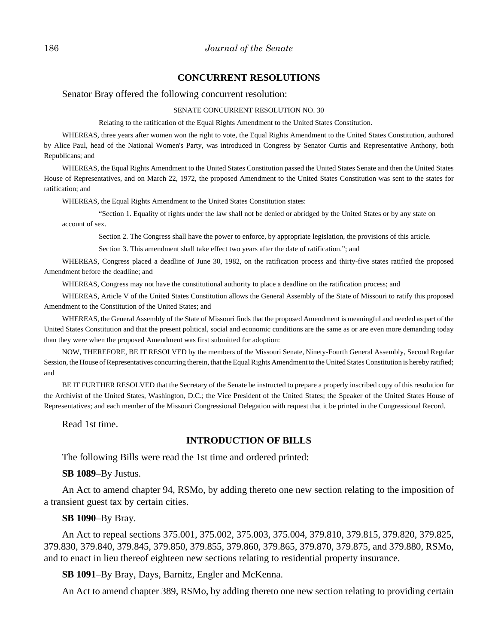## **CONCURRENT RESOLUTIONS**

#### Senator Bray offered the following concurrent resolution:

#### SENATE CONCURRENT RESOLUTION NO. 30

Relating to the ratification of the Equal Rights Amendment to the United States Constitution.

WHEREAS, three years after women won the right to vote, the Equal Rights Amendment to the United States Constitution, authored by Alice Paul, head of the National Women's Party, was introduced in Congress by Senator Curtis and Representative Anthony, both Republicans; and

WHEREAS, the Equal Rights Amendment to the United States Constitution passed the United States Senate and then the United States House of Representatives, and on March 22, 1972, the proposed Amendment to the United States Constitution was sent to the states for ratification; and

WHEREAS, the Equal Rights Amendment to the United States Constitution states:

"Section 1. Equality of rights under the law shall not be denied or abridged by the United States or by any state on account of sex.

Section 2. The Congress shall have the power to enforce, by appropriate legislation, the provisions of this article.

Section 3. This amendment shall take effect two years after the date of ratification."; and

WHEREAS, Congress placed a deadline of June 30, 1982, on the ratification process and thirty-five states ratified the proposed Amendment before the deadline; and

WHEREAS, Congress may not have the constitutional authority to place a deadline on the ratification process; and

WHEREAS, Article V of the United States Constitution allows the General Assembly of the State of Missouri to ratify this proposed Amendment to the Constitution of the United States; and

WHEREAS, the General Assembly of the State of Missouri finds that the proposed Amendment is meaningful and needed as part of the United States Constitution and that the present political, social and economic conditions are the same as or are even more demanding today than they were when the proposed Amendment was first submitted for adoption:

NOW, THEREFORE, BE IT RESOLVED by the members of the Missouri Senate, Ninety-Fourth General Assembly, Second Regular Session, the House of Representatives concurring therein, that the Equal Rights Amendment to the United States Constitution is hereby ratified; and

BE IT FURTHER RESOLVED that the Secretary of the Senate be instructed to prepare a properly inscribed copy of this resolution for the Archivist of the United States, Washington, D.C.; the Vice President of the United States; the Speaker of the United States House of Representatives; and each member of the Missouri Congressional Delegation with request that it be printed in the Congressional Record.

Read 1st time.

# **INTRODUCTION OF BILLS**

The following Bills were read the 1st time and ordered printed:

**SB 1089**–By Justus.

An Act to amend chapter 94, RSMo, by adding thereto one new section relating to the imposition of a transient guest tax by certain cities.

**SB 1090**–By Bray.

An Act to repeal sections 375.001, 375.002, 375.003, 375.004, 379.810, 379.815, 379.820, 379.825, 379.830, 379.840, 379.845, 379.850, 379.855, 379.860, 379.865, 379.870, 379.875, and 379.880, RSMo, and to enact in lieu thereof eighteen new sections relating to residential property insurance.

**SB 1091**–By Bray, Days, Barnitz, Engler and McKenna.

An Act to amend chapter 389, RSMo, by adding thereto one new section relating to providing certain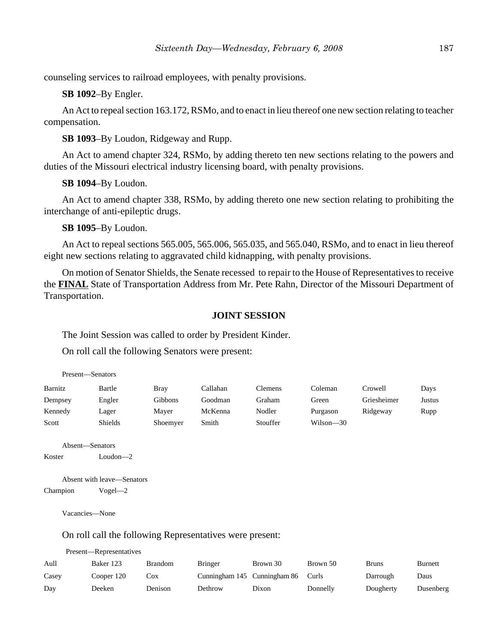counseling services to railroad employees, with penalty provisions.

**SB 1092**–By Engler.

An Act to repeal section 163.172, RSMo, and to enact in lieu thereof one new section relating to teacher compensation.

**SB 1093**–By Loudon, Ridgeway and Rupp.

An Act to amend chapter 324, RSMo, by adding thereto ten new sections relating to the powers and duties of the Missouri electrical industry licensing board, with penalty provisions.

**SB 1094**–By Loudon.

An Act to amend chapter 338, RSMo, by adding thereto one new section relating to prohibiting the interchange of anti-epileptic drugs.

**SB 1095**–By Loudon.

An Act to repeal sections 565.005, 565.006, 565.035, and 565.040, RSMo, and to enact in lieu thereof eight new sections relating to aggravated child kidnapping, with penalty provisions.

On motion of Senator Shields, the Senate recessed to repair to the House of Representatives to receive the **FINAL** State of Transportation Address from Mr. Pete Rahn, Director of the Missouri Department of Transportation.

### **JOINT SESSION**

The Joint Session was called to order by President Kinder.

On roll call the following Senators were present:

| Present—Senators |                |             |          |          |           |             |        |
|------------------|----------------|-------------|----------|----------|-----------|-------------|--------|
| Barnitz          | Bartle         | <b>Bray</b> | Callahan | Clemens  | Coleman   | Crowell     | Days   |
| Dempsey          | Engler         | Gibbons     | Goodman  | Graham   | Green     | Griesheimer | Justus |
| Kennedy          | Lager          | Mayer       | McKenna  | Nodler   | Purgason  | Ridgeway    | Rupp   |
| Scott            | <b>Shields</b> | Shoemyer    | Smith    | Stouffer | Wilson—30 |             |        |
|                  |                |             |          |          |           |             |        |

Absent—Senators

Koster Loudon—2

Absent with leave—Senators Champion Vogel—2

Vacancies—None

#### On roll call the following Representatives were present:

Present—Representatives

| Aull  | Baker 123  | <b>Brandom</b> | <b>Bringer</b>               | Brown 30 | Brown 50 | <b>Bruns</b> | Burnett   |
|-------|------------|----------------|------------------------------|----------|----------|--------------|-----------|
| Casey | Cooper 120 | Cox            | Cunningham 145 Cunningham 86 |          | Curls    | Darrough     | Daus      |
| Day   | Deeken     | Denison        | Dethrow                      | Dixon    | Donnelly | Dougherty    | Dusenberg |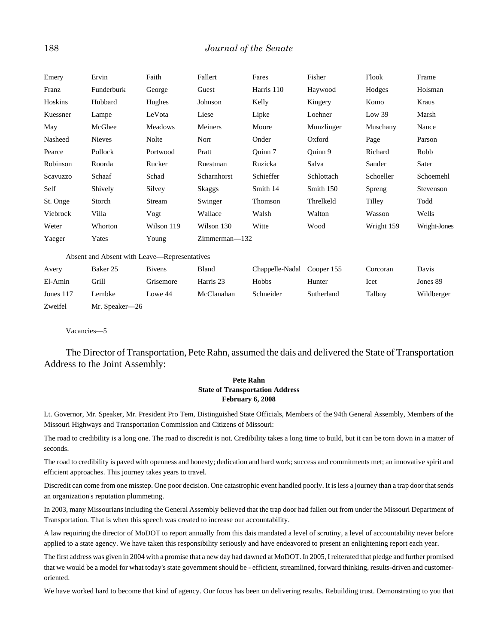#### 188 *Journal of the Senate*

| Emery                                        | Ervin         | Faith          | Fallert         | Fares           | Fisher     | Flook      | Frame        |  |
|----------------------------------------------|---------------|----------------|-----------------|-----------------|------------|------------|--------------|--|
| Franz                                        | Funderburk    | George         | Guest           | Harris 110      | Haywood    | Hodges     | Holsman      |  |
| Hoskins                                      | Hubbard       | Hughes         | Johnson         | Kelly           | Kingery    | Komo       | Kraus        |  |
| Kuessner                                     | Lampe         | LeVota         | Liese           | Lipke           | Loehner    | Low 39     | Marsh        |  |
| May                                          | McGhee        | <b>Meadows</b> | Meiners         | Moore           | Munzlinger | Muschany   | Nance        |  |
| Nasheed                                      | <b>Nieves</b> | Nolte          | Norr            | Onder           | Oxford     | Page       | Parson       |  |
| Pearce                                       | Pollock       | Portwood       | Pratt           | Ouinn 7         | Ouinn 9    | Richard    | Robb         |  |
| Robinson                                     | Roorda        | Rucker         | Ruestman        | Ruzicka         | Salva      | Sander     | Sater        |  |
| Scavuzzo                                     | Schaaf        | Schad          | Scharnhorst     | Schieffer       | Schlottach | Schoeller  | Schoemehl    |  |
| Self                                         | Shively       | Silvey         | <b>Skaggs</b>   | Smith 14        | Smith 150  | Spreng     | Stevenson    |  |
| St. Onge                                     | Storch        | Stream         | Swinger         | Thomson         | Threlkeld  | Tilley     | Todd         |  |
| Viebrock                                     | Villa         | Vogt           | Wallace         | Walsh           | Walton     | Wasson     | Wells        |  |
| Weter                                        | Whorton       | Wilson 119     | Wilson 130      | Witte           | Wood       | Wright 159 | Wright-Jones |  |
| Yaeger                                       | Yates         | Young          | $Zimmerman-132$ |                 |            |            |              |  |
| Absent and Absent with Leave—Representatives |               |                |                 |                 |            |            |              |  |
| Avery                                        | Baker 25      | <b>B</b> ivens | Bland           | Chappelle-Nadal | Cooper 155 | Corcoran   | Davis        |  |
| El-Amin                                      | Grill         | Grisemore      | Harris 23       | Hobbs           | Hunter     | Icet       | Jones 89     |  |
| Jones 117                                    | Lembke        | Lowe 44        | McClanahan      | Schneider       | Sutherland | Talboy     | Wildberger   |  |

Zweifel Mr. Speaker—26

Vacancies—5

The Director of Transportation, Pete Rahn, assumed the dais and delivered the State of Transportation Address to the Joint Assembly:

#### **Pete Rahn State of Transportation Address February 6, 2008**

Lt. Governor, Mr. Speaker, Mr. President Pro Tem, Distinguished State Officials, Members of the 94th General Assembly, Members of the Missouri Highways and Transportation Commission and Citizens of Missouri:

The road to credibility is a long one. The road to discredit is not. Credibility takes a long time to build, but it can be torn down in a matter of seconds.

The road to credibility is paved with openness and honesty; dedication and hard work; success and commitments met; an innovative spirit and efficient approaches. This journey takes years to travel.

Discredit can come from one misstep. One poor decision. One catastrophic event handled poorly. It is less a journey than a trap door that sends an organization's reputation plummeting.

In 2003, many Missourians including the General Assembly believed that the trap door had fallen out from under the Missouri Department of Transportation. That is when this speech was created to increase our accountability.

A law requiring the director of MoDOT to report annually from this dais mandated a level of scrutiny, a level of accountability never before applied to a state agency. We have taken this responsibility seriously and have endeavored to present an enlightening report each year.

The first address was given in 2004 with a promise that a new day had dawned at MoDOT. In 2005, I reiterated that pledge and further promised that we would be a model for what today's state government should be - efficient, streamlined, forward thinking, results-driven and customeroriented.

We have worked hard to become that kind of agency. Our focus has been on delivering results. Rebuilding trust. Demonstrating to you that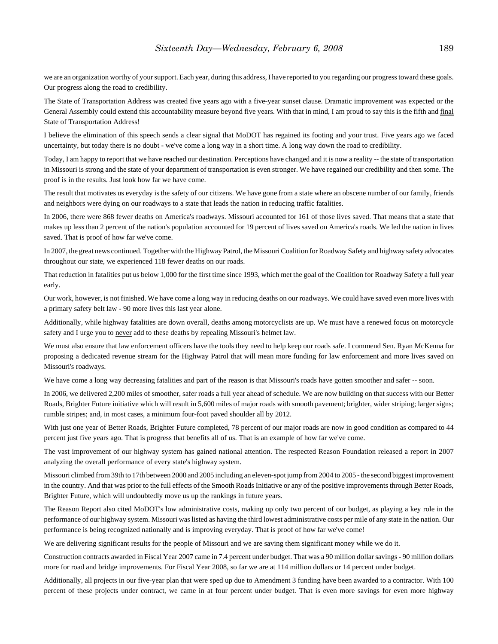we are an organization worthy of your support. Each year, during this address, I have reported to you regarding our progress toward these goals. Our progress along the road to credibility.

The State of Transportation Address was created five years ago with a five-year sunset clause. Dramatic improvement was expected or the General Assembly could extend this accountability measure beyond five years. With that in mind, I am proud to say this is the fifth and final State of Transportation Address!

I believe the elimination of this speech sends a clear signal that MoDOT has regained its footing and your trust. Five years ago we faced uncertainty, but today there is no doubt - we've come a long way in a short time. A long way down the road to credibility.

Today, I am happy to report that we have reached our destination. Perceptions have changed and it is now a reality -- the state of transportation in Missouri is strong and the state of your department of transportation is even stronger. We have regained our credibility and then some. The proof is in the results. Just look how far we have come.

The result that motivates us everyday is the safety of our citizens. We have gone from a state where an obscene number of our family, friends and neighbors were dying on our roadways to a state that leads the nation in reducing traffic fatalities.

In 2006, there were 868 fewer deaths on America's roadways. Missouri accounted for 161 of those lives saved. That means that a state that makes up less than 2 percent of the nation's population accounted for 19 percent of lives saved on America's roads. We led the nation in lives saved. That is proof of how far we've come.

In 2007, the great news continued. Together with the Highway Patrol, the Missouri Coalition for Roadway Safety and highway safety advocates throughout our state, we experienced 118 fewer deaths on our roads.

That reduction in fatalities put us below 1,000 for the first time since 1993, which met the goal of the Coalition for Roadway Safety a full year early.

Our work, however, is not finished. We have come a long way in reducing deaths on our roadways. We could have saved even more lives with a primary safety belt law - 90 more lives this last year alone.

Additionally, while highway fatalities are down overall, deaths among motorcyclists are up. We must have a renewed focus on motorcycle safety and I urge you to never add to these deaths by repealing Missouri's helmet law.

We must also ensure that law enforcement officers have the tools they need to help keep our roads safe. I commend Sen. Ryan McKenna for proposing a dedicated revenue stream for the Highway Patrol that will mean more funding for law enforcement and more lives saved on Missouri's roadways.

We have come a long way decreasing fatalities and part of the reason is that Missouri's roads have gotten smoother and safer -- soon.

In 2006, we delivered 2,200 miles of smoother, safer roads a full year ahead of schedule. We are now building on that success with our Better Roads, Brighter Future initiative which will result in 5,600 miles of major roads with smooth pavement; brighter, wider striping; larger signs; rumble stripes; and, in most cases, a minimum four-foot paved shoulder all by 2012.

With just one year of Better Roads, Brighter Future completed, 78 percent of our major roads are now in good condition as compared to 44 percent just five years ago. That is progress that benefits all of us. That is an example of how far we've come.

The vast improvement of our highway system has gained national attention. The respected Reason Foundation released a report in 2007 analyzing the overall performance of every state's highway system.

Missouri climbed from 39th to 17th between 2000 and 2005 including an eleven-spot jump from 2004 to 2005 - the second biggest improvement in the country. And that was prior to the full effects of the Smooth Roads Initiative or any of the positive improvements through Better Roads, Brighter Future, which will undoubtedly move us up the rankings in future years.

The Reason Report also cited MoDOT's low administrative costs, making up only two percent of our budget, as playing a key role in the performance of our highway system. Missouri was listed as having the third lowest administrative costs per mile of any state in the nation. Our performance is being recognized nationally and is improving everyday. That is proof of how far we've come!

We are delivering significant results for the people of Missouri and we are saving them significant money while we do it.

Construction contracts awarded in Fiscal Year 2007 came in 7.4 percent under budget. That was a 90 million dollar savings - 90 million dollars more for road and bridge improvements. For Fiscal Year 2008, so far we are at 114 million dollars or 14 percent under budget.

Additionally, all projects in our five-year plan that were sped up due to Amendment 3 funding have been awarded to a contractor. With 100 percent of these projects under contract, we came in at four percent under budget. That is even more savings for even more highway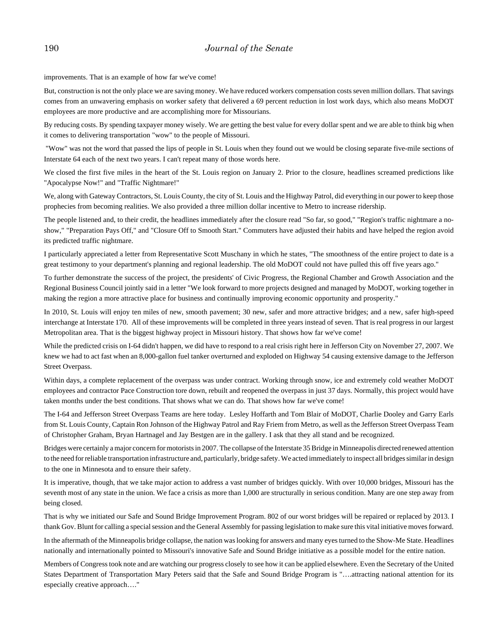improvements. That is an example of how far we've come!

But, construction is not the only place we are saving money. We have reduced workers compensation costs seven million dollars. That savings comes from an unwavering emphasis on worker safety that delivered a 69 percent reduction in lost work days, which also means MoDOT employees are more productive and are accomplishing more for Missourians.

By reducing costs. By spending taxpayer money wisely. We are getting the best value for every dollar spent and we are able to think big when it comes to delivering transportation "wow" to the people of Missouri.

 "Wow" was not the word that passed the lips of people in St. Louis when they found out we would be closing separate five-mile sections of Interstate 64 each of the next two years. I can't repeat many of those words here.

We closed the first five miles in the heart of the St. Louis region on January 2. Prior to the closure, headlines screamed predictions like "Apocalypse Now!" and "Traffic Nightmare!"

We, along with Gateway Contractors, St. Louis County, the city of St. Louis and the Highway Patrol, did everything in our power to keep those prophecies from becoming realities. We also provided a three million dollar incentive to Metro to increase ridership.

The people listened and, to their credit, the headlines immediately after the closure read "So far, so good," "Region's traffic nightmare a noshow," "Preparation Pays Off," and "Closure Off to Smooth Start." Commuters have adjusted their habits and have helped the region avoid its predicted traffic nightmare.

I particularly appreciated a letter from Representative Scott Muschany in which he states, "The smoothness of the entire project to date is a great testimony to your department's planning and regional leadership. The old MoDOT could not have pulled this off five years ago."

To further demonstrate the success of the project, the presidents' of Civic Progress, the Regional Chamber and Growth Association and the Regional Business Council jointly said in a letter "We look forward to more projects designed and managed by MoDOT, working together in making the region a more attractive place for business and continually improving economic opportunity and prosperity."

In 2010, St. Louis will enjoy ten miles of new, smooth pavement; 30 new, safer and more attractive bridges; and a new, safer high-speed interchange at Interstate 170. All of these improvements will be completed in three years instead of seven. That is real progress in our largest Metropolitan area. That is the biggest highway project in Missouri history. That shows how far we've come!

While the predicted crisis on I-64 didn't happen, we did have to respond to a real crisis right here in Jefferson City on November 27, 2007. We knew we had to act fast when an 8,000-gallon fuel tanker overturned and exploded on Highway 54 causing extensive damage to the Jefferson Street Overpass.

Within days, a complete replacement of the overpass was under contract. Working through snow, ice and extremely cold weather MoDOT employees and contractor Pace Construction tore down, rebuilt and reopened the overpass in just 37 days. Normally, this project would have taken months under the best conditions. That shows what we can do. That shows how far we've come!

The I-64 and Jefferson Street Overpass Teams are here today. Lesley Hoffarth and Tom Blair of MoDOT, Charlie Dooley and Garry Earls from St. Louis County, Captain Ron Johnson of the Highway Patrol and Ray Friem from Metro, as well as the Jefferson Street Overpass Team of Christopher Graham, Bryan Hartnagel and Jay Bestgen are in the gallery. I ask that they all stand and be recognized.

Bridges were certainly a major concern for motorists in 2007. The collapse of the Interstate 35 Bridge in Minneapolis directed renewed attention to the need for reliable transportation infrastructure and, particularly, bridge safety. We acted immediately to inspect all bridges similar in design to the one in Minnesota and to ensure their safety.

It is imperative, though, that we take major action to address a vast number of bridges quickly. With over 10,000 bridges, Missouri has the seventh most of any state in the union. We face a crisis as more than 1,000 are structurally in serious condition. Many are one step away from being closed.

That is why we initiated our Safe and Sound Bridge Improvement Program. 802 of our worst bridges will be repaired or replaced by 2013. I thank Gov. Blunt for calling a special session and the General Assembly for passing legislation to make sure this vital initiative moves forward.

In the aftermath of the Minneapolis bridge collapse, the nation was looking for answers and many eyes turned to the Show-Me State. Headlines nationally and internationally pointed to Missouri's innovative Safe and Sound Bridge initiative as a possible model for the entire nation.

Members of Congress took note and are watching our progress closely to see how it can be applied elsewhere. Even the Secretary of the United States Department of Transportation Mary Peters said that the Safe and Sound Bridge Program is "….attracting national attention for its especially creative approach…."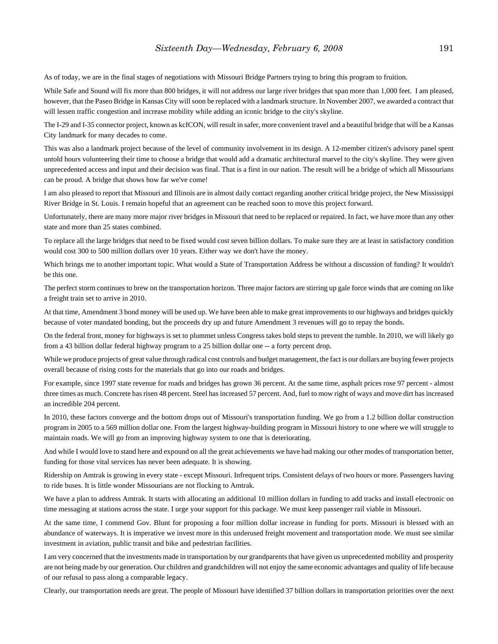As of today, we are in the final stages of negotiations with Missouri Bridge Partners trying to bring this program to fruition.

While Safe and Sound will fix more than 800 bridges, it will not address our large river bridges that span more than 1,000 feet. I am pleased, however, that the Paseo Bridge in Kansas City will soon be replaced with a landmark structure. In November 2007, we awarded a contract that will lessen traffic congestion and increase mobility while adding an iconic bridge to the city's skyline.

The I-29 and I-35 connector project, known as kcICON, will result in safer, more convenient travel and a beautiful bridge that will be a Kansas City landmark for many decades to come.

This was also a landmark project because of the level of community involvement in its design. A 12-member citizen's advisory panel spent untold hours volunteering their time to choose a bridge that would add a dramatic architectural marvel to the city's skyline. They were given unprecedented access and input and their decision was final. That is a first in our nation. The result will be a bridge of which all Missourians can be proud. A bridge that shows how far we've come!

I am also pleased to report that Missouri and Illinois are in almost daily contact regarding another critical bridge project, the New Mississippi River Bridge in St. Louis. I remain hopeful that an agreement can be reached soon to move this project forward.

Unfortunately, there are many more major river bridges in Missouri that need to be replaced or repaired. In fact, we have more than any other state and more than 25 states combined.

To replace all the large bridges that need to be fixed would cost seven billion dollars. To make sure they are at least in satisfactory condition would cost 300 to 500 million dollars over 10 years. Either way we don't have the money.

Which brings me to another important topic. What would a State of Transportation Address be without a discussion of funding? It wouldn't be this one.

The perfect storm continues to brew on the transportation horizon. Three major factors are stirring up gale force winds that are coming on like a freight train set to arrive in 2010.

At that time, Amendment 3 bond money will be used up. We have been able to make great improvements to our highways and bridges quickly because of voter mandated bonding, but the proceeds dry up and future Amendment 3 revenues will go to repay the bonds.

On the federal front, money for highways is set to plummet unless Congress takes bold steps to prevent the tumble. In 2010, we will likely go from a 43 billion dollar federal highway program to a 25 billion dollar one -- a forty percent drop.

While we produce projects of great value through radical cost controls and budget management, the fact is our dollars are buying fewer projects overall because of rising costs for the materials that go into our roads and bridges.

For example, since 1997 state revenue for roads and bridges has grown 36 percent. At the same time, asphalt prices rose 97 percent - almost three times as much. Concrete has risen 48 percent. Steel has increased 57 percent. And, fuel to mow right of ways and move dirt has increased an incredible 204 percent.

In 2010, these factors converge and the bottom drops out of Missouri's transportation funding. We go from a 1.2 billion dollar construction program in 2005 to a 569 million dollar one. From the largest highway-building program in Missouri history to one where we will struggle to maintain roads. We will go from an improving highway system to one that is deteriorating.

And while I would love to stand here and expound on all the great achievements we have had making our other modes of transportation better, funding for those vital services has never been adequate. It is showing.

Ridership on Amtrak is growing in every state - except Missouri. Infrequent trips. Consistent delays of two hours or more. Passengers having to ride buses. It is little wonder Missourians are not flocking to Amtrak.

We have a plan to address Amtrak. It starts with allocating an additional 10 million dollars in funding to add tracks and install electronic on time messaging at stations across the state. I urge your support for this package. We must keep passenger rail viable in Missouri.

At the same time, I commend Gov. Blunt for proposing a four million dollar increase in funding for ports. Missouri is blessed with an abundance of waterways. It is imperative we invest more in this underused freight movement and transportation mode. We must see similar investment in aviation, public transit and bike and pedestrian facilities.

I am very concerned that the investments made in transportation by our grandparents that have given us unprecedented mobility and prosperity are not being made by our generation. Our children and grandchildren will not enjoy the same economic advantages and quality of life because of our refusal to pass along a comparable legacy.

Clearly, our transportation needs are great. The people of Missouri have identified 37 billion dollars in transportation priorities over the next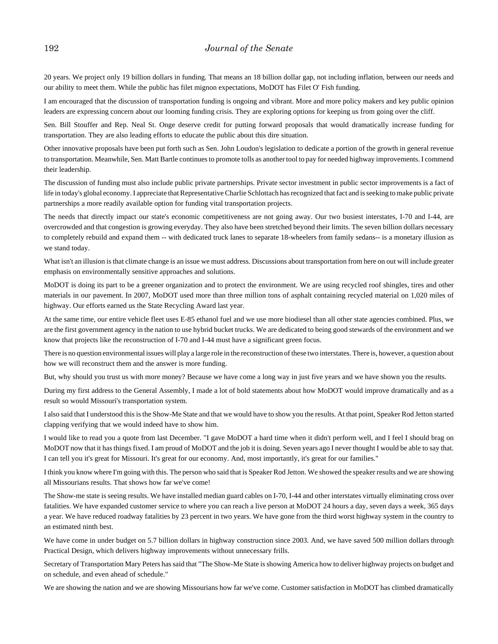20 years. We project only 19 billion dollars in funding. That means an 18 billion dollar gap, not including inflation, between our needs and our ability to meet them. While the public has filet mignon expectations, MoDOT has Filet O' Fish funding.

I am encouraged that the discussion of transportation funding is ongoing and vibrant. More and more policy makers and key public opinion leaders are expressing concern about our looming funding crisis. They are exploring options for keeping us from going over the cliff.

Sen. Bill Stouffer and Rep. Neal St. Onge deserve credit for putting forward proposals that would dramatically increase funding for transportation. They are also leading efforts to educate the public about this dire situation.

Other innovative proposals have been put forth such as Sen. John Loudon's legislation to dedicate a portion of the growth in general revenue to transportation. Meanwhile, Sen. Matt Bartle continues to promote tolls as another tool to pay for needed highway improvements. I commend their leadership.

The discussion of funding must also include public private partnerships. Private sector investment in public sector improvements is a fact of life in today's global economy. I appreciate that Representative Charlie Schlottach has recognized that fact and is seeking to make public private partnerships a more readily available option for funding vital transportation projects.

The needs that directly impact our state's economic competitiveness are not going away. Our two busiest interstates, I-70 and I-44, are overcrowded and that congestion is growing everyday. They also have been stretched beyond their limits. The seven billion dollars necessary to completely rebuild and expand them -- with dedicated truck lanes to separate 18-wheelers from family sedans-- is a monetary illusion as we stand today.

What isn't an illusion is that climate change is an issue we must address. Discussions about transportation from here on out will include greater emphasis on environmentally sensitive approaches and solutions.

MoDOT is doing its part to be a greener organization and to protect the environment. We are using recycled roof shingles, tires and other materials in our pavement. In 2007, MoDOT used more than three million tons of asphalt containing recycled material on 1,020 miles of highway. Our efforts earned us the State Recycling Award last year.

At the same time, our entire vehicle fleet uses E-85 ethanol fuel and we use more biodiesel than all other state agencies combined. Plus, we are the first government agency in the nation to use hybrid bucket trucks. We are dedicated to being good stewards of the environment and we know that projects like the reconstruction of I-70 and I-44 must have a significant green focus.

There is no question environmental issues will play a large role in the reconstruction of these two interstates. There is, however, a question about how we will reconstruct them and the answer is more funding.

But, why should you trust us with more money? Because we have come a long way in just five years and we have shown you the results.

During my first address to the General Assembly, I made a lot of bold statements about how MoDOT would improve dramatically and as a result so would Missouri's transportation system.

I also said that I understood this is the Show-Me State and that we would have to show you the results. At that point, Speaker Rod Jetton started clapping verifying that we would indeed have to show him.

I would like to read you a quote from last December. "I gave MoDOT a hard time when it didn't perform well, and I feel I should brag on MoDOT now that it has things fixed. I am proud of MoDOT and the job it is doing. Seven years ago I never thought I would be able to say that. I can tell you it's great for Missouri. It's great for our economy. And, most importantly, it's great for our families."

I think you know where I'm going with this. The person who said that is Speaker Rod Jetton. We showed the speaker results and we are showing all Missourians results. That shows how far we've come!

The Show-me state is seeing results. We have installed median guard cables on I-70, I-44 and other interstates virtually eliminating cross over fatalities. We have expanded customer service to where you can reach a live person at MoDOT 24 hours a day, seven days a week, 365 days a year. We have reduced roadway fatalities by 23 percent in two years. We have gone from the third worst highway system in the country to an estimated ninth best.

We have come in under budget on 5.7 billion dollars in highway construction since 2003. And, we have saved 500 million dollars through Practical Design, which delivers highway improvements without unnecessary frills.

Secretary of Transportation Mary Peters has said that "The Show-Me State is showing America how to deliver highway projects on budget and on schedule, and even ahead of schedule."

We are showing the nation and we are showing Missourians how far we've come. Customer satisfaction in MoDOT has climbed dramatically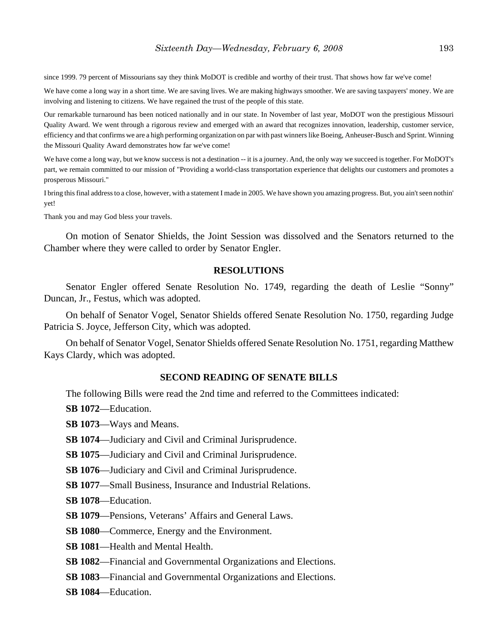since 1999. 79 percent of Missourians say they think MoDOT is credible and worthy of their trust. That shows how far we've come!

We have come a long way in a short time. We are saving lives. We are making highways smoother. We are saving taxpayers' money. We are involving and listening to citizens. We have regained the trust of the people of this state.

Our remarkable turnaround has been noticed nationally and in our state. In November of last year, MoDOT won the prestigious Missouri Quality Award. We went through a rigorous review and emerged with an award that recognizes innovation, leadership, customer service, efficiency and that confirms we are a high performing organization on par with past winners like Boeing, Anheuser-Busch and Sprint. Winning the Missouri Quality Award demonstrates how far we've come!

We have come a long way, but we know success is not a destination -- it is a journey. And, the only way we succeed is together. For MoDOT's part, we remain committed to our mission of "Providing a world-class transportation experience that delights our customers and promotes a prosperous Missouri."

I bring this final address to a close, however, with a statement I made in 2005. We have shown you amazing progress. But, you ain't seen nothin' yet!

Thank you and may God bless your travels.

On motion of Senator Shields, the Joint Session was dissolved and the Senators returned to the Chamber where they were called to order by Senator Engler.

### **RESOLUTIONS**

Senator Engler offered Senate Resolution No. 1749, regarding the death of Leslie "Sonny" Duncan, Jr., Festus, which was adopted.

On behalf of Senator Vogel, Senator Shields offered Senate Resolution No. 1750, regarding Judge Patricia S. Joyce, Jefferson City, which was adopted.

On behalf of Senator Vogel, Senator Shields offered Senate Resolution No. 1751, regarding Matthew Kays Clardy, which was adopted.

## **SECOND READING OF SENATE BILLS**

The following Bills were read the 2nd time and referred to the Committees indicated:

**SB 1072**—Education.

**SB 1073**—Ways and Means.

**SB 1074**—Judiciary and Civil and Criminal Jurisprudence.

**SB 1075**—Judiciary and Civil and Criminal Jurisprudence.

**SB 1076**—Judiciary and Civil and Criminal Jurisprudence.

**SB 1077**—Small Business, Insurance and Industrial Relations.

**SB 1078**—Education.

**SB 1079**—Pensions, Veterans' Affairs and General Laws.

**SB 1080**—Commerce, Energy and the Environment.

**SB 1081**—Health and Mental Health.

**SB 1082**—Financial and Governmental Organizations and Elections.

**SB 1083**—Financial and Governmental Organizations and Elections.

**SB 1084**—Education.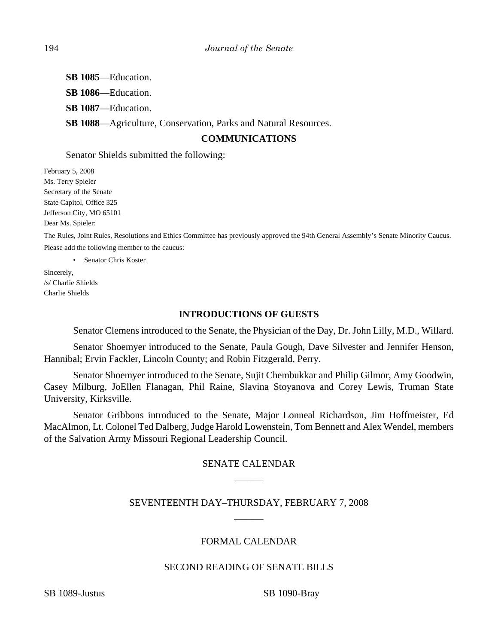**SB 1085**—Education.

**SB 1086**—Education.

**SB 1087**—Education.

**SB 1088**—Agriculture, Conservation, Parks and Natural Resources.

## **COMMUNICATIONS**

Senator Shields submitted the following:

February 5, 2008 Ms. Terry Spieler Secretary of the Senate State Capitol, Office 325 Jefferson City, MO 65101 Dear Ms. Spieler:

The Rules, Joint Rules, Resolutions and Ethics Committee has previously approved the 94th General Assembly's Senate Minority Caucus. Please add the following member to the caucus:

• Senator Chris Koster

Sincerely, /s/ Charlie Shields Charlie Shields

## **INTRODUCTIONS OF GUESTS**

Senator Clemens introduced to the Senate, the Physician of the Day, Dr. John Lilly, M.D., Willard.

Senator Shoemyer introduced to the Senate, Paula Gough, Dave Silvester and Jennifer Henson, Hannibal; Ervin Fackler, Lincoln County; and Robin Fitzgerald, Perry.

Senator Shoemyer introduced to the Senate, Sujit Chembukkar and Philip Gilmor, Amy Goodwin, Casey Milburg, JoEllen Flanagan, Phil Raine, Slavina Stoyanova and Corey Lewis, Truman State University, Kirksville.

Senator Gribbons introduced to the Senate, Major Lonneal Richardson, Jim Hoffmeister, Ed MacAlmon, Lt. Colonel Ted Dalberg, Judge Harold Lowenstein, Tom Bennett and Alex Wendel, members of the Salvation Army Missouri Regional Leadership Council.

# SENATE CALENDAR \_\_\_\_\_\_

# SEVENTEENTH DAY–THURSDAY, FEBRUARY 7, 2008 \_\_\_\_\_\_

## FORMAL CALENDAR

## SECOND READING OF SENATE BILLS

SB 1089-Justus SB 1090-Bray